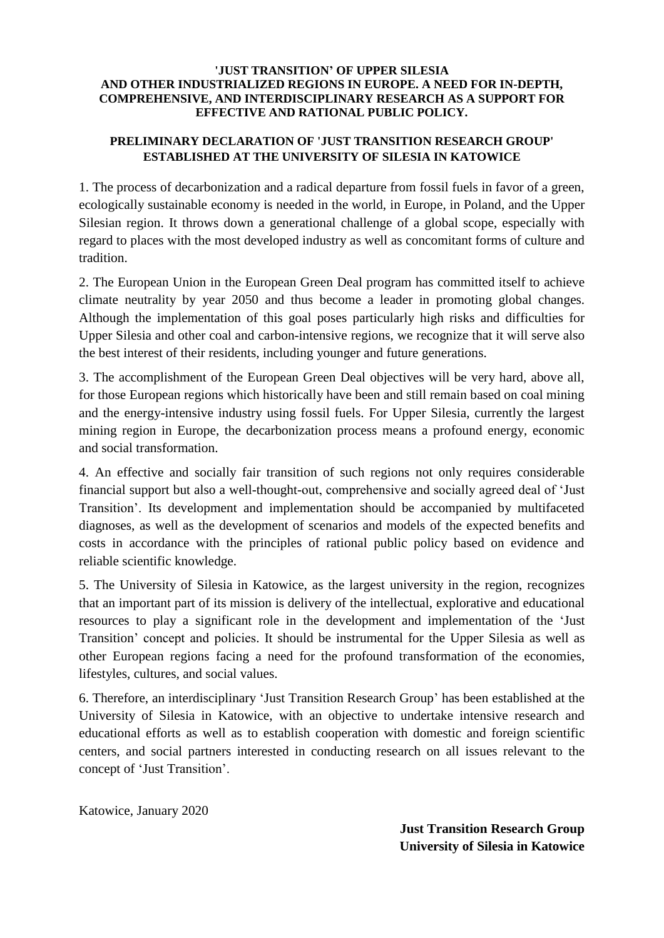## **'JUST TRANSITION' OF UPPER SILESIA AND OTHER INDUSTRIALIZED REGIONS IN EUROPE. A NEED FOR IN-DEPTH, COMPREHENSIVE, AND INTERDISCIPLINARY RESEARCH AS A SUPPORT FOR EFFECTIVE AND RATIONAL PUBLIC POLICY.**

## **PRELIMINARY DECLARATION OF 'JUST TRANSITION RESEARCH GROUP' ESTABLISHED AT THE UNIVERSITY OF SILESIA IN KATOWICE**

1. The process of decarbonization and a radical departure from fossil fuels in favor of a green, ecologically sustainable economy is needed in the world, in Europe, in Poland, and the Upper Silesian region. It throws down a generational challenge of a global scope, especially with regard to places with the most developed industry as well as concomitant forms of culture and tradition.

2. The European Union in the European Green Deal program has committed itself to achieve climate neutrality by year 2050 and thus become a leader in promoting global changes. Although the implementation of this goal poses particularly high risks and difficulties for Upper Silesia and other coal and carbon-intensive regions, we recognize that it will serve also the best interest of their residents, including younger and future generations.

3. The accomplishment of the European Green Deal objectives will be very hard, above all, for those European regions which historically have been and still remain based on coal mining and the energy-intensive industry using fossil fuels. For Upper Silesia, currently the largest mining region in Europe, the decarbonization process means a profound energy, economic and social transformation.

4. An effective and socially fair transition of such regions not only requires considerable financial support but also a well-thought-out, comprehensive and socially agreed deal of 'Just Transition'. Its development and implementation should be accompanied by multifaceted diagnoses, as well as the development of scenarios and models of the expected benefits and costs in accordance with the principles of rational public policy based on evidence and reliable scientific knowledge.

5. The University of Silesia in Katowice, as the largest university in the region, recognizes that an important part of its mission is delivery of the intellectual, explorative and educational resources to play a significant role in the development and implementation of the 'Just Transition' concept and policies. It should be instrumental for the Upper Silesia as well as other European regions facing a need for the profound transformation of the economies, lifestyles, cultures, and social values.

6. Therefore, an interdisciplinary 'Just Transition Research Group' has been established at the University of Silesia in Katowice, with an objective to undertake intensive research and educational efforts as well as to establish cooperation with domestic and foreign scientific centers, and social partners interested in conducting research on all issues relevant to the concept of 'Just Transition'.

Katowice, January 2020

**Just Transition Research Group University of Silesia in Katowice**